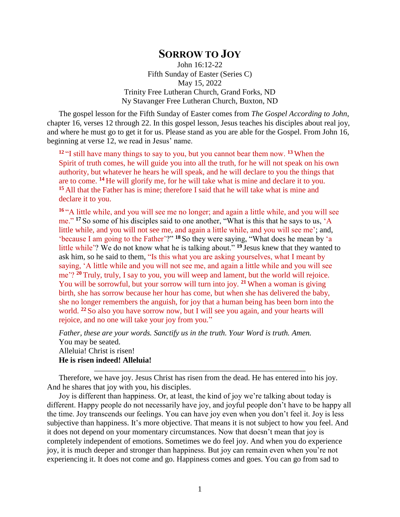## **SORROW TO JOY**

John 16:12-22 Fifth Sunday of Easter (Series C) May 15, 2022 Trinity Free Lutheran Church, Grand Forks, ND Ny Stavanger Free Lutheran Church, Buxton, ND

The gospel lesson for the Fifth Sunday of Easter comes from *The Gospel According to John*, chapter 16, verses 12 through 22. In this gospel lesson, Jesus teaches his disciples about real joy, and where he must go to get it for us. Please stand as you are able for the Gospel. From John 16, beginning at verse 12, we read in Jesus' name.

**<sup>12</sup>** "I still have many things to say to you, but you cannot bear them now. **<sup>13</sup>** When the Spirit of truth comes, he will guide you into all the truth, for he will not speak on his own authority, but whatever he hears he will speak, and he will declare to you the things that are to come. **<sup>14</sup>** He will glorify me, for he will take what is mine and declare it to you. **<sup>15</sup>** All that the Father has is mine; therefore I said that he will take what is mine and declare it to you.

**<sup>16</sup>** "A little while, and you will see me no longer; and again a little while, and you will see me." <sup>17</sup> So some of his disciples said to one another, "What is this that he says to us, 'A little while, and you will not see me, and again a little while, and you will see me'; and, 'because I am going to the Father'?" **<sup>18</sup>** So they were saying, "What does he mean by 'a little while'? We do not know what he is talking about." **<sup>19</sup>** Jesus knew that they wanted to ask him, so he said to them, "Is this what you are asking yourselves, what I meant by saying, 'A little while and you will not see me, and again a little while and you will see me'? **<sup>20</sup>** Truly, truly, I say to you, you will weep and lament, but the world will rejoice. You will be sorrowful, but your sorrow will turn into joy. **<sup>21</sup>** When a woman is giving birth, she has sorrow because her hour has come, but when she has delivered the baby, she no longer remembers the anguish, for joy that a human being has been born into the world. **<sup>22</sup>** So also you have sorrow now, but I will see you again, and your hearts will rejoice, and no one will take your joy from you."

*Father, these are your words. Sanctify us in the truth. Your Word is truth. Amen.* You may be seated. Alleluia! Christ is risen! **He is risen indeed! Alleluia!**

Therefore, we have joy. Jesus Christ has risen from the dead. He has entered into his joy. And he shares that joy with you, his disciples.

Joy is different than happiness. Or, at least, the kind of joy we're talking about today is different. Happy people do not necessarily have joy, and joyful people don't have to be happy all the time. Joy transcends our feelings. You can have joy even when you don't feel it. Joy is less subjective than happiness. It's more objective. That means it is not subject to how you feel. And it does not depend on your momentary circumstances. Now that doesn't mean that joy is completely independent of emotions. Sometimes we do feel joy. And when you do experience joy, it is much deeper and stronger than happiness. But joy can remain even when you're not experiencing it. It does not come and go. Happiness comes and goes. You can go from sad to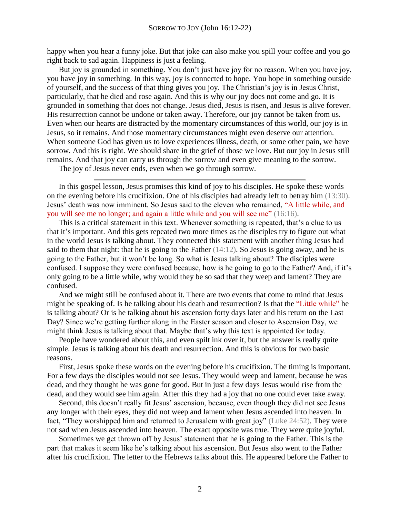happy when you hear a funny joke. But that joke can also make you spill your coffee and you go right back to sad again. Happiness is just a feeling.

But joy is grounded in something. You don't just have joy for no reason. When you have joy, you have joy in something. In this way, joy is connected to hope. You hope in something outside of yourself, and the success of that thing gives you joy. The Christian's joy is in Jesus Christ, particularly, that he died and rose again. And this is why our joy does not come and go. It is grounded in something that does not change. Jesus died, Jesus is risen, and Jesus is alive forever. His resurrection cannot be undone or taken away. Therefore, our joy cannot be taken from us. Even when our hearts are distracted by the momentary circumstances of this world, our joy is in Jesus, so it remains. And those momentary circumstances might even deserve our attention. When someone God has given us to love experiences illness, death, or some other pain, we have sorrow. And this is right. We should share in the grief of those we love. But our joy in Jesus still remains. And that joy can carry us through the sorrow and even give meaning to the sorrow.

The joy of Jesus never ends, even when we go through sorrow.

In this gospel lesson, Jesus promises this kind of joy to his disciples. He spoke these words on the evening before his crucifixion. One of his disciples had already left to betray him (13:30). Jesus' death was now imminent. So Jesus said to the eleven who remained, "A little while, and you will see me no longer; and again a little while and you will see me" (16:16).

This is a critical statement in this text. Whenever something is repeated, that's a clue to us that it's important. And this gets repeated two more times as the disciples try to figure out what in the world Jesus is talking about. They connected this statement with another thing Jesus had said to them that night: that he is going to the Father (14:12). So Jesus is going away, and he is going to the Father, but it won't be long. So what is Jesus talking about? The disciples were confused. I suppose they were confused because, how is he going to go to the Father? And, if it's only going to be a little while, why would they be so sad that they weep and lament? They are confused.

And we might still be confused about it. There are two events that come to mind that Jesus might be speaking of. Is he talking about his death and resurrection? Is that the "Little while" he is talking about? Or is he talking about his ascension forty days later and his return on the Last Day? Since we're getting further along in the Easter season and closer to Ascension Day, we might think Jesus is talking about that. Maybe that's why this text is appointed for today.

People have wondered about this, and even spilt ink over it, but the answer is really quite simple. Jesus is talking about his death and resurrection. And this is obvious for two basic reasons.

First, Jesus spoke these words on the evening before his crucifixion. The timing is important. For a few days the disciples would not see Jesus. They would weep and lament, because he was dead, and they thought he was gone for good. But in just a few days Jesus would rise from the dead, and they would see him again. After this they had a joy that no one could ever take away.

Second, this doesn't really fit Jesus' ascension, because, even though they did not see Jesus any longer with their eyes, they did not weep and lament when Jesus ascended into heaven. In fact, "They worshipped him and returned to Jerusalem with great joy" (Luke 24:52). They were not sad when Jesus ascended into heaven. The exact opposite was true. They were quite joyful.

Sometimes we get thrown off by Jesus' statement that he is going to the Father. This is the part that makes it seem like he's talking about his ascension. But Jesus also went to the Father after his crucifixion. The letter to the Hebrews talks about this. He appeared before the Father to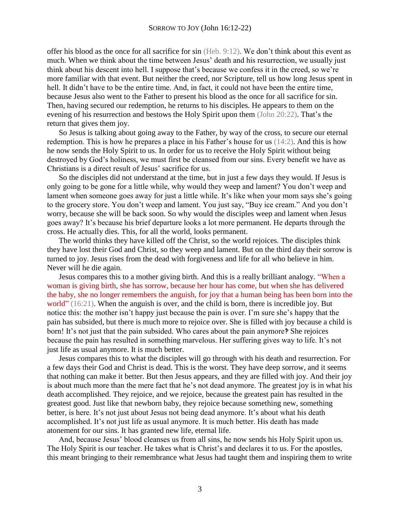offer his blood as the once for all sacrifice for sin (Heb. 9:12). We don't think about this event as much. When we think about the time between Jesus' death and his resurrection, we usually just think about his descent into hell. I suppose that's because we confess it in the creed, so we're more familiar with that event. But neither the creed, nor Scripture, tell us how long Jesus spent in hell. It didn't have to be the entire time. And, in fact, it could not have been the entire time, because Jesus also went to the Father to present his blood as the once for all sacrifice for sin. Then, having secured our redemption, he returns to his disciples. He appears to them on the evening of his resurrection and bestows the Holy Spirit upon them (John 20:22). That's the return that gives them joy.

So Jesus is talking about going away to the Father, by way of the cross, to secure our eternal redemption. This is how he prepares a place in his Father's house for us (14:2). And this is how he now sends the Holy Spirit to us. In order for us to receive the Holy Spirit without being destroyed by God's holiness, we must first be cleansed from our sins. Every benefit we have as Christians is a direct result of Jesus' sacrifice for us.

So the disciples did not understand at the time, but in just a few days they would. If Jesus is only going to be gone for a little while, why would they weep and lament? You don't weep and lament when someone goes away for just a little while. It's like when your mom says she's going to the grocery store. You don't weep and lament. You just say, "Buy ice cream." And you don't worry, because she will be back soon. So why would the disciples weep and lament when Jesus goes away? It's because his brief departure looks a lot more permanent. He departs through the cross. He actually dies. This, for all the world, looks permanent.

The world thinks they have killed off the Christ, so the world rejoices. The disciples think they have lost their God and Christ, so they weep and lament. But on the third day their sorrow is turned to joy. Jesus rises from the dead with forgiveness and life for all who believe in him. Never will he die again.

Jesus compares this to a mother giving birth. And this is a really brilliant analogy. "When a woman is giving birth, she has sorrow, because her hour has come, but when she has delivered the baby, she no longer remembers the anguish, for joy that a human being has been born into the world" (16:21). When the anguish is over, and the child is born, there is incredible joy. But notice this: the mother isn't happy just because the pain is over. I'm sure she's happy that the pain has subsided, but there is much more to rejoice over. She is filled with joy because a child is born! It's not just that the pain subsided. Who cares about the pain anymore? She rejoices because the pain has resulted in something marvelous. Her suffering gives way to life. It's not just life as usual anymore. It is much better.

Jesus compares this to what the disciples will go through with his death and resurrection. For a few days their God and Christ is dead. This is the worst. They have deep sorrow, and it seems that nothing can make it better. But then Jesus appears, and they are filled with joy. And their joy is about much more than the mere fact that he's not dead anymore. The greatest joy is in what his death accomplished. They rejoice, and we rejoice, because the greatest pain has resulted in the greatest good. Just like that newborn baby, they rejoice because something new, something better, is here. It's not just about Jesus not being dead anymore. It's about what his death accomplished. It's not just life as usual anymore. It is much better. His death has made atonement for our sins. It has granted new life, eternal life.

And, because Jesus' blood cleanses us from all sins, he now sends his Holy Spirit upon us. The Holy Spirit is our teacher. He takes what is Christ's and declares it to us. For the apostles, this meant bringing to their remembrance what Jesus had taught them and inspiring them to write